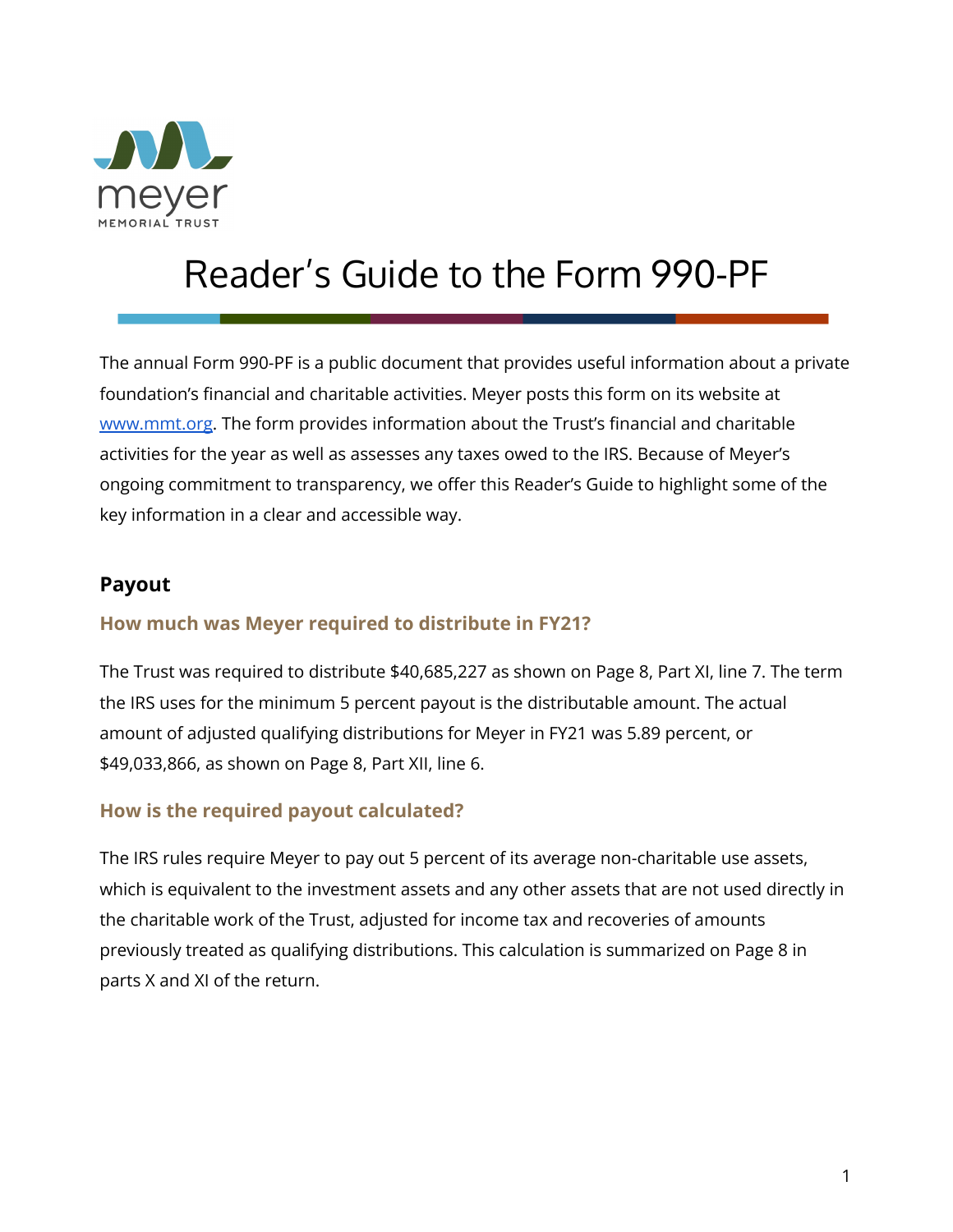

# Reader's Guide to the Form 990-PF

The annual Form 990-PF is a public document that provides useful information about a private foundation's financial and charitable activities. Meyer posts this form on its website at [www.mmt.org.](https://mmt.org/financials) The form provides information about the Trust's financial and charitable activities for the year as well as assesses any taxes owed to the IRS. Because of Meyer's ongoing commitment to transparency, we offer this Reader's Guide to highlight some of the key information in a clear and accessible way.

#### **Payout**

#### **How much was Meyer required to distribute in FY21?**

The Trust was required to distribute \$40,685,227 as shown on Page 8, Part XI, line 7. The term the IRS uses for the minimum 5 percent payout is the distributable amount. The actual amount of adjusted qualifying distributions for Meyer in FY21 was 5.89 percent, or \$49,033,866, as shown on Page 8, Part XII, line 6.

#### **How is the required payout calculated?**

The IRS rules require Meyer to pay out 5 percent of its average non-charitable use assets, which is equivalent to the investment assets and any other assets that are not used directly in the charitable work of the Trust, adjusted for income tax and recoveries of amounts previously treated as qualifying distributions. This calculation is summarized on Page 8 in parts X and XI of the return.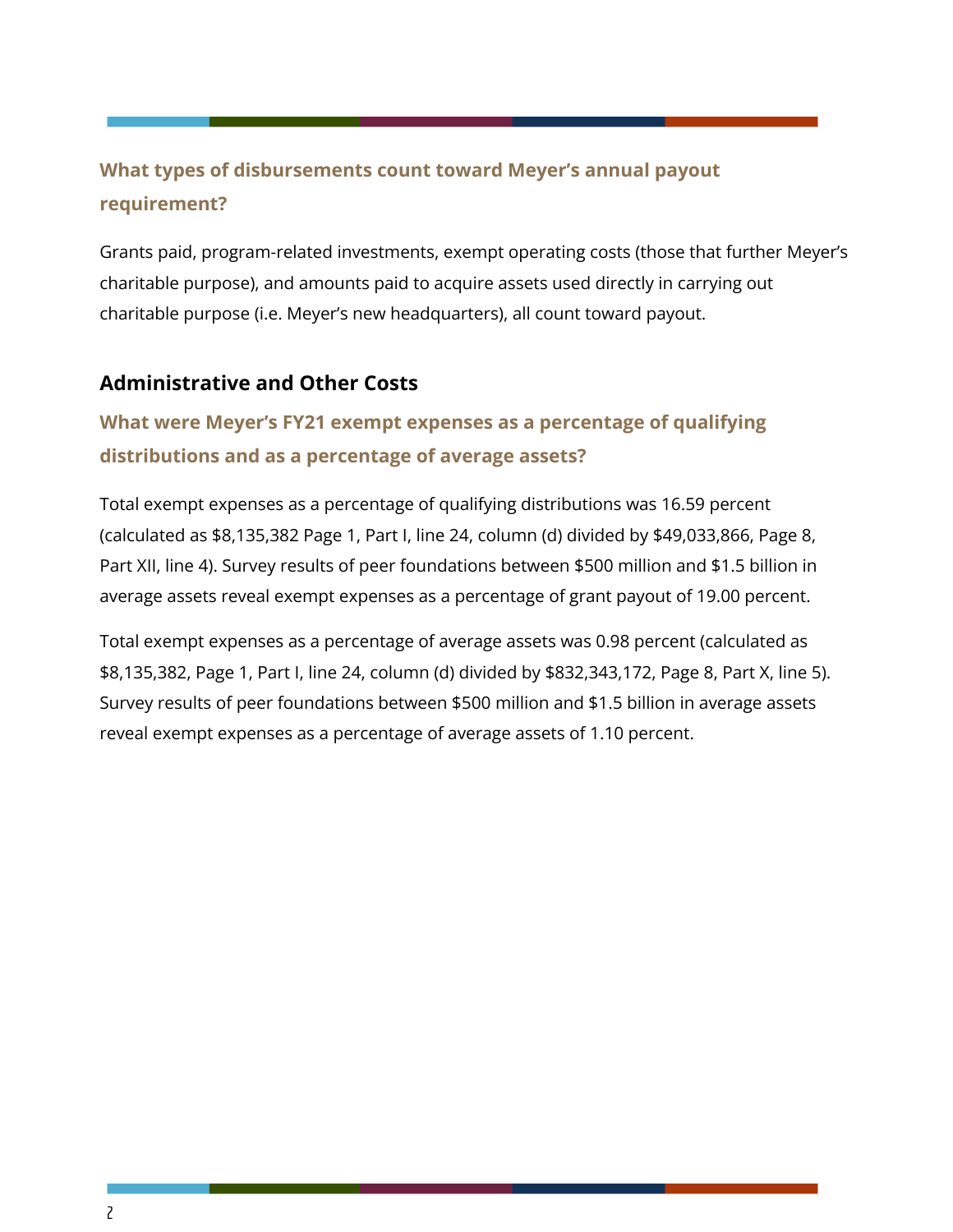## **What types of disbursements count toward Meyer's annual payout requirement?**

Grants paid, program-related investments, exempt operating costs (those that further Meyer's charitable purpose), and amounts paid to acquire assets used directly in carrying out charitable purpose (i.e. Meyer's new headquarters), all count toward payout.

#### **Administrative and Other Costs**

### **What were Meyer's FY21 exempt expenses as a percentage of qualifying distributions and as a percentage of average assets?**

Total exempt expenses as a percentage of qualifying distributions was 16.59 percent (calculated as \$8,135,382 Page 1, Part I, line 24, column (d) divided by \$49,033,866, Page 8, Part XII, line 4). Survey results of peer foundations between \$500 million and \$1.5 billion in average assets reveal exempt expenses as a percentage of grant payout of 19.00 percent.

Total exempt expenses as a percentage of average assets was 0.98 percent (calculated as \$8,135,382, Page 1, Part I, line 24, column (d) divided by \$832,343,172, Page 8, Part X, line 5). Survey results of peer foundations between \$500 million and \$1.5 billion in average assets reveal exempt expenses as a percentage of average assets of 1.10 percent.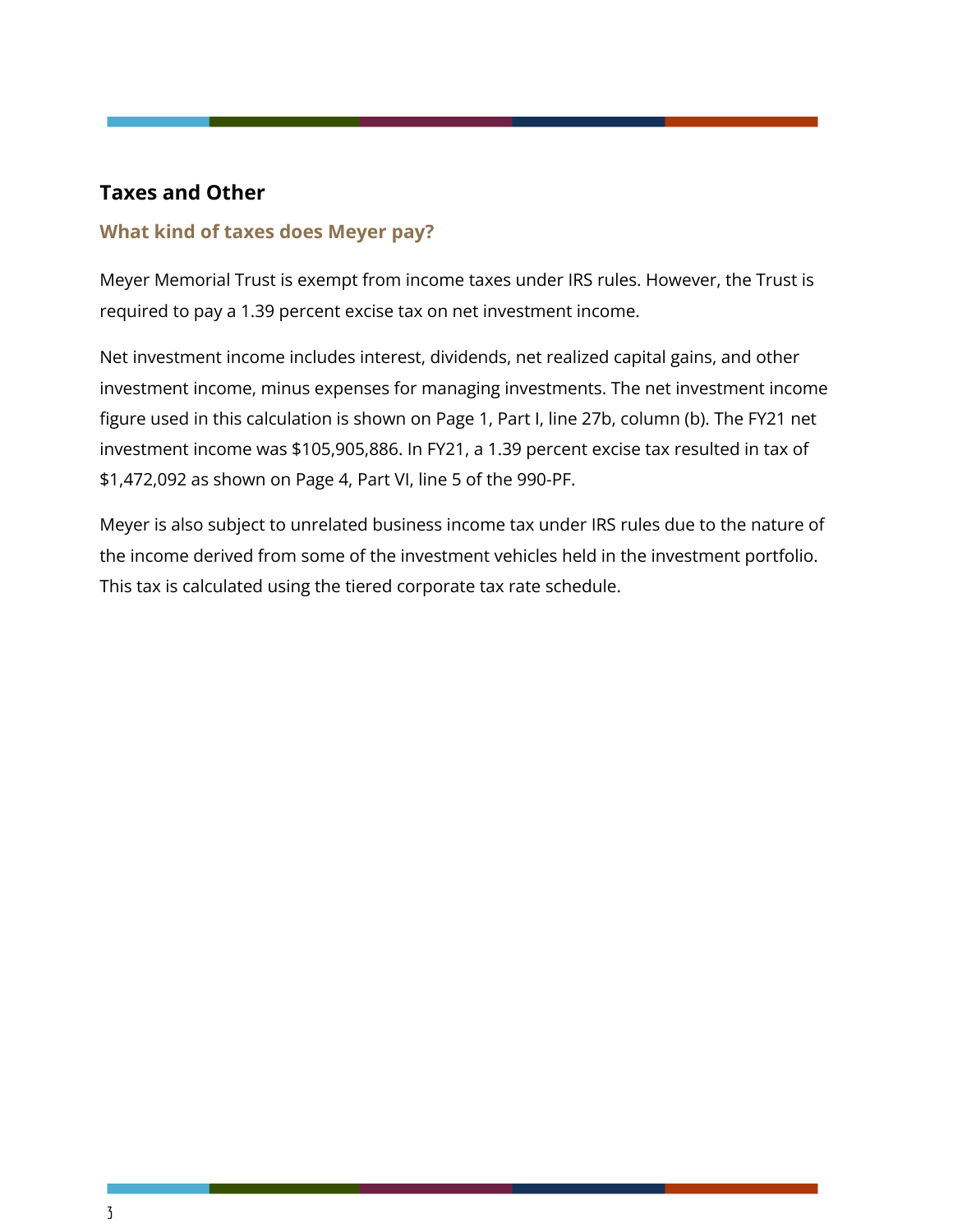#### **Taxes and Other**

#### **What kind of taxes does Meyer pay?**

Meyer Memorial Trust is exempt from income taxes under IRS rules. However, the Trust is required to pay a 1.39 percent excise tax on net investment income.

Net investment income includes interest, dividends, net realized capital gains, and other investment income, minus expenses for managing investments. The net investment income figure used in this calculation is shown on Page 1, Part I, line 27b, column (b). The FY21 net investment income was \$105,905,886. In FY21, a 1.39 percent excise tax resulted in tax of \$1,472,092 as shown on Page 4, Part VI, line 5 of the 990-PF.

Meyer is also subject to unrelated business income tax under IRS rules due to the nature of the income derived from some of the investment vehicles held in the investment portfolio. This tax is calculated using the tiered corporate tax rate schedule.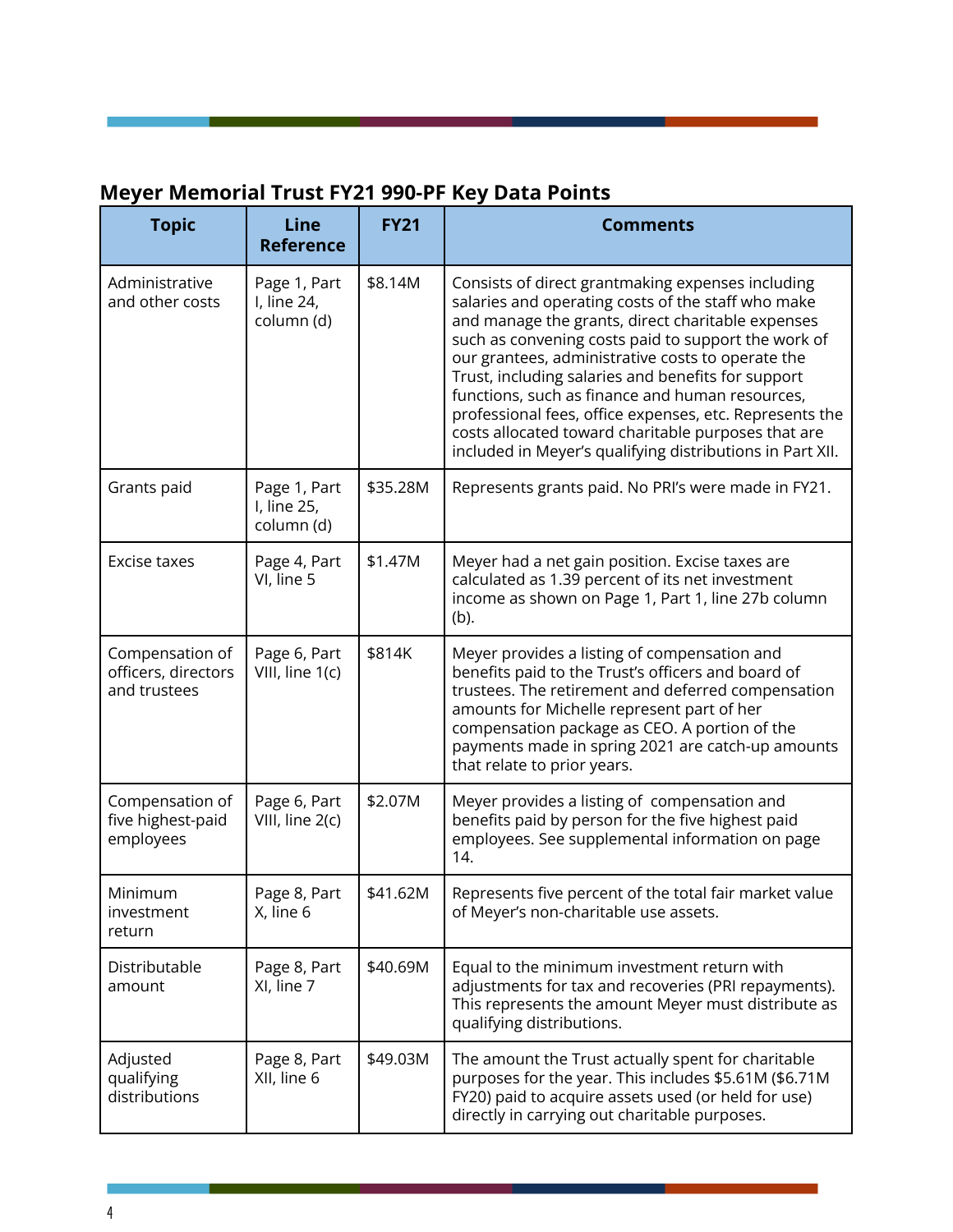# **Meyer Memorial Trust FY21 990-PF Key Data Points**

| <b>Topic</b>                                           | <b>Line</b><br><b>Reference</b>           | <b>FY21</b> | <b>Comments</b>                                                                                                                                                                                                                                                                                                                                                                                                                                                                                                                                                  |
|--------------------------------------------------------|-------------------------------------------|-------------|------------------------------------------------------------------------------------------------------------------------------------------------------------------------------------------------------------------------------------------------------------------------------------------------------------------------------------------------------------------------------------------------------------------------------------------------------------------------------------------------------------------------------------------------------------------|
| Administrative<br>and other costs                      | Page 1, Part<br>I, line 24,<br>column (d) | \$8.14M     | Consists of direct grantmaking expenses including<br>salaries and operating costs of the staff who make<br>and manage the grants, direct charitable expenses<br>such as convening costs paid to support the work of<br>our grantees, administrative costs to operate the<br>Trust, including salaries and benefits for support<br>functions, such as finance and human resources,<br>professional fees, office expenses, etc. Represents the<br>costs allocated toward charitable purposes that are<br>included in Meyer's qualifying distributions in Part XII. |
| Grants paid                                            | Page 1, Part<br>I, line 25,<br>column (d) | \$35.28M    | Represents grants paid. No PRI's were made in FY21.                                                                                                                                                                                                                                                                                                                                                                                                                                                                                                              |
| Excise taxes                                           | Page 4, Part<br>VI, line 5                | \$1.47M     | Meyer had a net gain position. Excise taxes are<br>calculated as 1.39 percent of its net investment<br>income as shown on Page 1, Part 1, line 27b column<br>(b).                                                                                                                                                                                                                                                                                                                                                                                                |
| Compensation of<br>officers, directors<br>and trustees | Page 6, Part<br>VIII, line 1(c)           | \$814K      | Meyer provides a listing of compensation and<br>benefits paid to the Trust's officers and board of<br>trustees. The retirement and deferred compensation<br>amounts for Michelle represent part of her<br>compensation package as CEO. A portion of the<br>payments made in spring 2021 are catch-up amounts<br>that relate to prior years.                                                                                                                                                                                                                      |
| Compensation of<br>five highest-paid<br>employees      | Page 6, Part<br>VIII, line 2(c)           | \$2.07M     | Meyer provides a listing of compensation and<br>benefits paid by person for the five highest paid<br>employees. See supplemental information on page<br>14.                                                                                                                                                                                                                                                                                                                                                                                                      |
| Minimum<br>investment<br>return                        | Page 8, Part<br>X, line 6                 | \$41.62M    | Represents five percent of the total fair market value<br>of Meyer's non-charitable use assets.                                                                                                                                                                                                                                                                                                                                                                                                                                                                  |
| Distributable<br>amount                                | Page 8, Part<br>XI, line 7                | \$40.69M    | Equal to the minimum investment return with<br>adjustments for tax and recoveries (PRI repayments).<br>This represents the amount Meyer must distribute as<br>qualifying distributions.                                                                                                                                                                                                                                                                                                                                                                          |
| Adjusted<br>qualifying<br>distributions                | Page 8, Part<br>XII, line 6               | \$49.03M    | The amount the Trust actually spent for charitable<br>purposes for the year. This includes \$5.61M (\$6.71M<br>FY20) paid to acquire assets used (or held for use)<br>directly in carrying out charitable purposes.                                                                                                                                                                                                                                                                                                                                              |